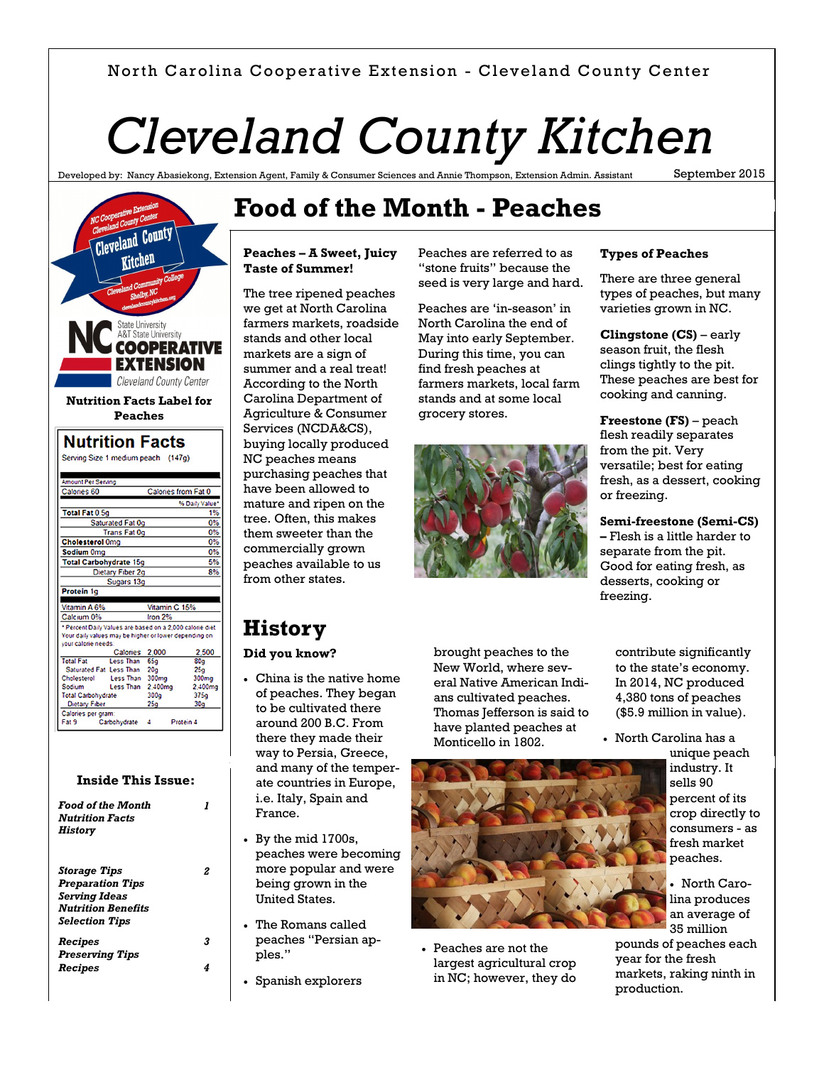### North Carolina Cooperative Extension - Cleveland County Center

# *Cleveland County Kitchen*

Developed by: Nancy Abasiekong, Extension Agent, Family & Consumer Sciences and Annie Thompson, Extension Admin. Assistant

September 2015



### **Inside This Issue:**

| <b>Food of the Month</b><br><b>Nutrition Facts</b><br>History                                                                |   |
|------------------------------------------------------------------------------------------------------------------------------|---|
| <b>Storage Tips</b><br><b>Preparation Tips</b><br><b>Serving Ideas</b><br><b>Nutrition Benefits</b><br><b>Selection Tips</b> |   |
| Recipes                                                                                                                      | 3 |
| <b>Preserving Tips</b>                                                                                                       |   |
| Recipes                                                                                                                      |   |
|                                                                                                                              |   |

## **Food of the Month - Peaches**

#### **Peaches – A Sweet, Juicy Taste of Summer!**

The tree ripened peaches we get at North Carolina farmers markets, roadside stands and other local markets are a sign of summer and a real treat! According to the North Carolina Department of Agriculture & Consumer Services (NCDA&CS), buying locally produced NC peaches means purchasing peaches that have been allowed to mature and ripen on the tree. Often, this makes them sweeter than the commercially grown peaches available to us from other states.

**History**

France.

ples."

By the mid 1700s,

 The Romans called peaches "Persian ap-

Spanish explorers

peaches were becoming more popular and were being grown in the United States.

**Did you know?**

 China is the native home of peaches. They began to be cultivated there around 200 B.C. From there they made their way to Persia, Greece, and many of the temperate countries in Europe, i.e. Italy, Spain and

Peaches are referred to as "stone fruits" because the seed is very large and hard.

Peaches are 'in-season' in North Carolina the end of May into early September. During this time, you can find fresh peaches at farmers markets, local farm stands and at some local grocery stores.



brought peaches to the New World, where several Native American Indians cultivated peaches. Thomas Jefferson is said to have planted peaches at Monticello in 1802.



 Peaches are not the largest agricultural crop in NC; however, they do **Types of Peaches**

There are three general types of peaches, but many varieties grown in NC.

**Clingstone (CS)** – early season fruit, the flesh clings tightly to the pit. These peaches are best for cooking and canning.

**Freestone (FS)** – peach flesh readily separates from the pit. Very versatile; best for eating fresh, as a dessert, cooking or freezing.

**Semi-freestone (Semi-CS) –** Flesh is a little harder to

separate from the pit. Good for eating fresh, as desserts, cooking or freezing.

> contribute significantly to the state's economy. In 2014, NC produced 4,380 tons of peaches (\$5.9 million in value).

 North Carolina has a unique peach

industry. It sells 90 percent of its crop directly to consumers - as fresh market peaches.

 North Carolina produces an average of 35 million

pounds of peaches each year for the fresh markets, raking ninth in production.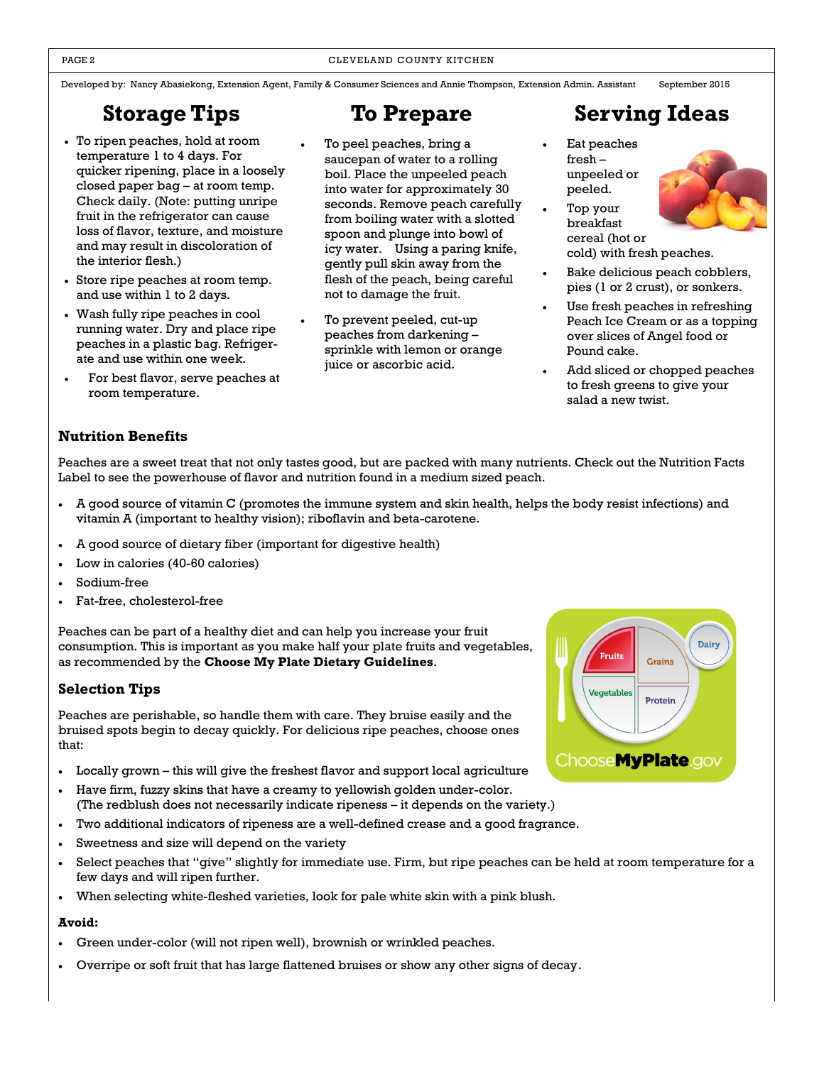Developed by: Nancy Abasiekong, Extension Agent, Family & Consumer Sciences and Annie Thompson, Extension Admin. Assistant September 2015

### **Storage Tips**

- To ripen peaches, hold at room temperature 1 to 4 days. For quicker ripening, place in a loosely closed paper bag – at room temp. Check daily. (Note: putting unripe fruit in the refrigerator can cause loss of flavor, texture, and moisture and may result in discoloration of the interior flesh.)
- Store ripe peaches at room temp. and use within 1 to 2 days.
- Wash fully ripe peaches in cool running water. Dry and place ripe peaches in a plastic bag. Refrigerate and use within one week.
- For best flavor, serve peaches at room temperature.

- To peel peaches, bring a saucepan of water to a rolling boil. Place the unpeeled peach into water for approximately 30 seconds. Remove peach carefully from boiling water with a slotted spoon and plunge into bowl of icy water. Using a paring knife, gently pull skin away from the flesh of the peach, being careful not to damage the fruit.
- To prevent peeled, cut-up peaches from darkening – sprinkle with lemon or orange juice or ascorbic acid.

## **To Prepare Serving Ideas**

- Eat peaches fresh – unpeeled or peeled.
- Top your breakfast



cold) with fresh peaches.

- Bake delicious peach cobblers, pies (1 or 2 crust), or sonkers.
- Use fresh peaches in refreshing Peach Ice Cream or as a topping over slices of Angel food or Pound cake.
- Add sliced or chopped peaches to fresh greens to give your salad a new twist.

### **Nutrition Benefits**

Peaches are a sweet treat that not only tastes good, but are packed with many nutrients. Check out the Nutrition Facts Label to see the powerhouse of flavor and nutrition found in a medium sized peach.

- A good source of vitamin C (promotes the immune system and skin health, helps the body resist infections) and vitamin A (important to healthy vision); riboflavin and beta-carotene.
- A good source of dietary fiber (important for digestive health)
- Low in calories (40-60 calories)
- Sodium-free
- Fat-free, cholesterol-free

Peaches can be part of a healthy diet and can help you increase your fruit consumption. This is important as you make half your plate fruits and vegetables, as recommended by the **Choose My Plate Dietary Guidelines**.

### **Selection Tips**

Peaches are perishable, so handle them with care. They bruise easily and the bruised spots begin to decay quickly. For delicious ripe peaches, choose ones that:

- Locally grown this will give the freshest flavor and support local agriculture
- Have firm, fuzzy skins that have a creamy to yellowish golden under-color. (The redblush does not necessarily indicate ripeness – it depends on the variety.)
- Two additional indicators of ripeness are a well-defined crease and a good fragrance.
- Sweetness and size will depend on the variety
- Select peaches that "give" slightly for immediate use. Firm, but ripe peaches can be held at room temperature for a few days and will ripen further.
- When selecting white-fleshed varieties, look for pale white skin with a pink blush.

### **Avoid:**

- Green under-color (will not ripen well), brownish or wrinkled peaches.
- Overripe or soft fruit that has large flattened bruises or show any other signs of decay.

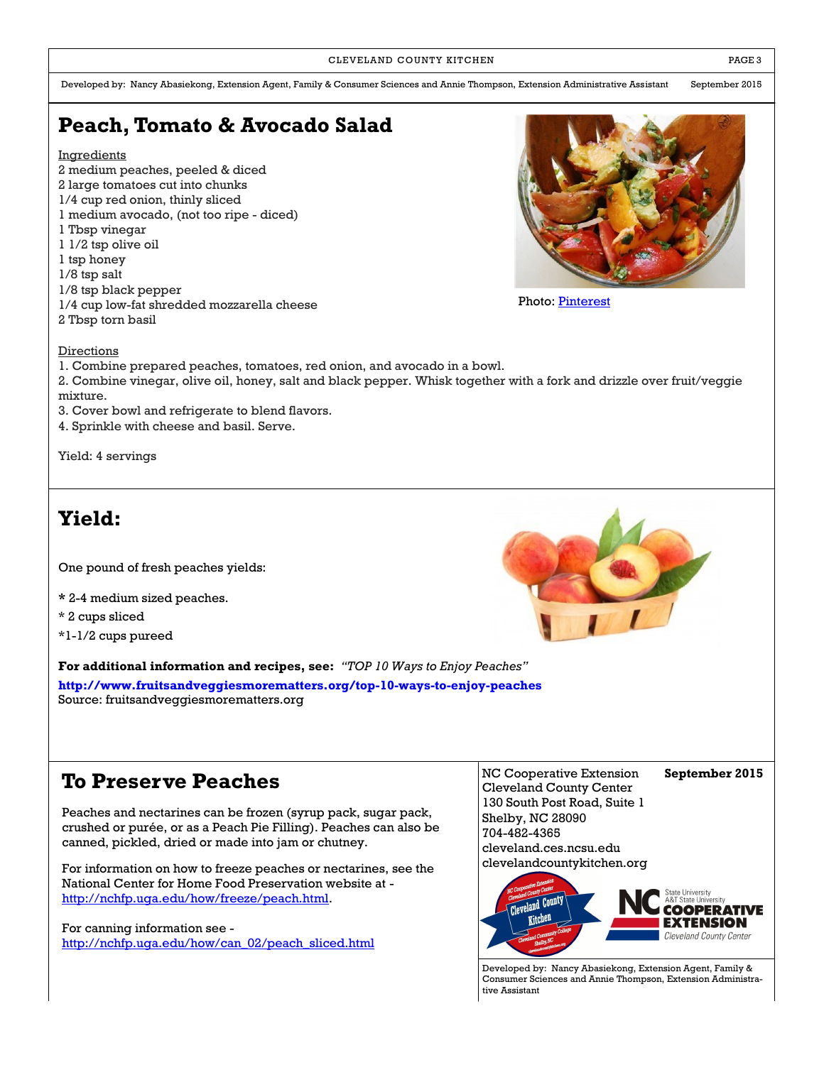CLEVELAND COUNTY KITCHEN **EXECUTE A RESISTENT COUNTY KITCHEN** 

Developed by: Nancy Abasiekong, Extension Agent, Family & Consumer Sciences and Annie Thompson, Extension Administrative Assistant September 2015

### **Peach, Tomato & Avocado Salad**

**Ingredients** 

- 2 medium peaches, peeled & diced
- 2 large tomatoes cut into chunks
- 1/4 cup red onion, thinly sliced
- 1 medium avocado, (not too ripe diced)
- 1 Tbsp vinegar
- 1 1/2 tsp olive oil
- 1 tsp honey
- 1/8 tsp salt
- 1/8 tsp black pepper
- 1/4 cup low-fat shredded mozzarella cheese
- 2 Tbsp torn basil



Photo: [Pinterest](http://cupcakesandcashmere.com/101-days-of-summer/)

#### Directions

- 1. Combine prepared peaches, tomatoes, red onion, and avocado in a bowl.
- 2. Combine vinegar, olive oil, honey, salt and black pepper. Whisk together with a fork and drizzle over fruit/veggie mixture.
- 3. Cover bowl and refrigerate to blend flavors.
- 4. Sprinkle with cheese and basil. Serve.

Yield: 4 servings

### **Yield:**

One pound of fresh peaches yields:

- **\*** 2-4 medium sized peaches.
- \* 2 cups sliced

\*1-1/2 cups pureed

**For additional information and recipes, see:** *"TOP 10 Ways to Enjoy Peaches"*

**<http://www.fruitsandveggiesmorematters.org/top-10-ways-to-enjoy-peaches>** Source: fruitsandveggiesmorematters.org

### **To Preserve Peaches**

Peaches and nectarines can be frozen (syrup pack, sugar pack, crushed or purée, or as a Peach Pie Filling). Peaches can also be canned, pickled, dried or made into jam or chutney.

For information on how to freeze peaches or nectarines, see the National Center for Home Food Preservation website at [http://nchfp.uga.edu/how/freeze/peach.html.](http://nchfp.uga.edu/how/freeze/peach.html)

For canning information see [http://nchfp.uga.edu/how/can\\_02/peach\\_sliced.html](http://nchfp.uga.edu/how/can_02/peach_sliced.html)

NC Cooperative Extension **September 2015** Cleveland County Center 130 South Post Road, Suite 1 Shelby, NC 28090 704-482-4365 cleveland.ces.ncsu.edu clevelandcountykitchen.org



Developed by: Nancy Abasiekong, Extension Agent, Family & Consumer Sciences and Annie Thompson, Extension Administrative Assistant